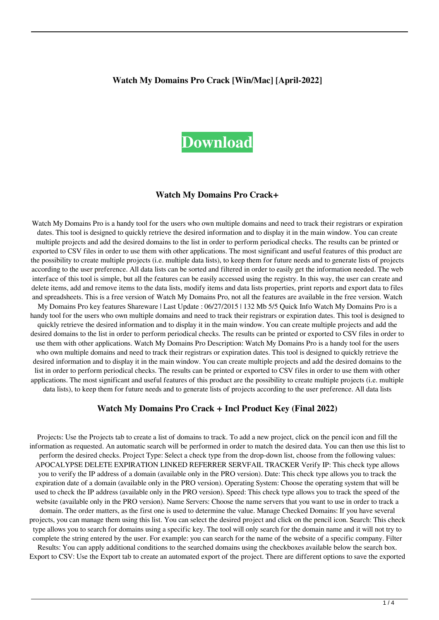#### **Watch My Domains Pro Crack [Win/Mac] [April-2022]**

# **[Download](http://evacdir.com/daewoos/?V2F0Y2ggTXkgRG9tYWlucyBQcm8V2F=sprightly&fairmount=labling&uplift=ZG93bmxvYWR8aVY1Tm1KdGIzeDhNVFkxTkRVeU1qRXhNSHg4TWpVM05IeDhLRTBwSUhKbFlXUXRZbXh2WnlCYlJtRnpkQ0JIUlU1ZA)**

#### **Watch My Domains Pro Crack+**

Watch My Domains Pro is a handy tool for the users who own multiple domains and need to track their registrars or expiration dates. This tool is designed to quickly retrieve the desired information and to display it in the main window. You can create multiple projects and add the desired domains to the list in order to perform periodical checks. The results can be printed or exported to CSV files in order to use them with other applications. The most significant and useful features of this product are the possibility to create multiple projects (i.e. multiple data lists), to keep them for future needs and to generate lists of projects according to the user preference. All data lists can be sorted and filtered in order to easily get the information needed. The web interface of this tool is simple, but all the features can be easily accessed using the registry. In this way, the user can create and delete items, add and remove items to the data lists, modify items and data lists properties, print reports and export data to files and spreadsheets. This is a free version of Watch My Domains Pro, not all the features are available in the free version. Watch My Domains Pro key features Shareware | Last Update : 06/27/2015 | 132 Mb 5/5 Quick Info Watch My Domains Pro is a handy tool for the users who own multiple domains and need to track their registrars or expiration dates. This tool is designed to quickly retrieve the desired information and to display it in the main window. You can create multiple projects and add the desired domains to the list in order to perform periodical checks. The results can be printed or exported to CSV files in order to use them with other applications. Watch My Domains Pro Description: Watch My Domains Pro is a handy tool for the users who own multiple domains and need to track their registrars or expiration dates. This tool is designed to quickly retrieve the desired information and to display it in the main window. You can create multiple projects and add the desired domains to the list in order to perform periodical checks. The results can be printed or exported to CSV files in order to use them with other applications. The most significant and useful features of this product are the possibility to create multiple projects (i.e. multiple data lists), to keep them for future needs and to generate lists of projects according to the user preference. All data lists

#### **Watch My Domains Pro Crack + Incl Product Key (Final 2022)**

Projects: Use the Projects tab to create a list of domains to track. To add a new project, click on the pencil icon and fill the information as requested. An automatic search will be performed in order to match the desired data. You can then use this list to perform the desired checks. Project Type: Select a check type from the drop-down list, choose from the following values: APOCALYPSE DELETE EXPIRATION LINKED REFERRER SERVFAIL TRACKER Verify IP: This check type allows you to verify the IP address of a domain (available only in the PRO version). Date: This check type allows you to track the expiration date of a domain (available only in the PRO version). Operating System: Choose the operating system that will be used to check the IP address (available only in the PRO version). Speed: This check type allows you to track the speed of the website (available only in the PRO version). Name Servers: Choose the name servers that you want to use in order to track a domain. The order matters, as the first one is used to determine the value. Manage Checked Domains: If you have several projects, you can manage them using this list. You can select the desired project and click on the pencil icon. Search: This check type allows you to search for domains using a specific key. The tool will only search for the domain name and it will not try to complete the string entered by the user. For example: you can search for the name of the website of a specific company. Filter Results: You can apply additional conditions to the searched domains using the checkboxes available below the search box. Export to CSV: Use the Export tab to create an automated export of the project. There are different options to save the exported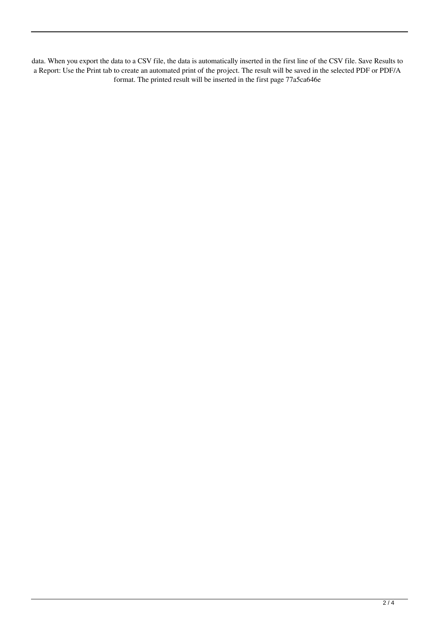data. When you export the data to a CSV file, the data is automatically inserted in the first line of the CSV file. Save Results to a Report: Use the Print tab to create an automated print of the project. The result will be saved in the selected PDF or PDF/A format. The printed result will be inserted in the first page 77a5ca646e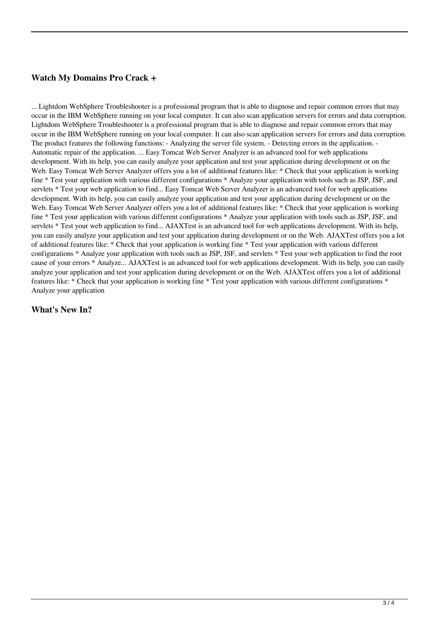## **Watch My Domains Pro Crack +**

... Lightdom WebSphere Troubleshooter is a professional program that is able to diagnose and repair common errors that may occur in the IBM WebSphere running on your local computer. It can also scan application servers for errors and data corruption. Lightdom WebSphere Troubleshooter is a professional program that is able to diagnose and repair common errors that may occur in the IBM WebSphere running on your local computer. It can also scan application servers for errors and data corruption. The product features the following functions: - Analyzing the server file system. - Detecting errors in the application. - Automatic repair of the application. ... Easy Tomcat Web Server Analyzer is an advanced tool for web applications development. With its help, you can easily analyze your application and test your application during development or on the Web. Easy Tomcat Web Server Analyzer offers you a lot of additional features like: \* Check that your application is working fine \* Test your application with various different configurations \* Analyze your application with tools such as JSP, JSF, and servlets \* Test your web application to find... Easy Tomcat Web Server Analyzer is an advanced tool for web applications development. With its help, you can easily analyze your application and test your application during development or on the Web. Easy Tomcat Web Server Analyzer offers you a lot of additional features like: \* Check that your application is working fine \* Test your application with various different configurations \* Analyze your application with tools such as JSP, JSF, and servlets \* Test your web application to find... AJAXTest is an advanced tool for web applications development. With its help, you can easily analyze your application and test your application during development or on the Web. AJAXTest offers you a lot of additional features like: \* Check that your application is working fine \* Test your application with various different configurations \* Analyze your application with tools such as JSP, JSF, and servlets \* Test your web application to find the root cause of your errors \* Analyze... AJAXTest is an advanced tool for web applications development. With its help, you can easily analyze your application and test your application during development or on the Web. AJAXTest offers you a lot of additional features like: \* Check that your application is working fine \* Test your application with various different configurations \* Analyze your application

### **What's New In?**